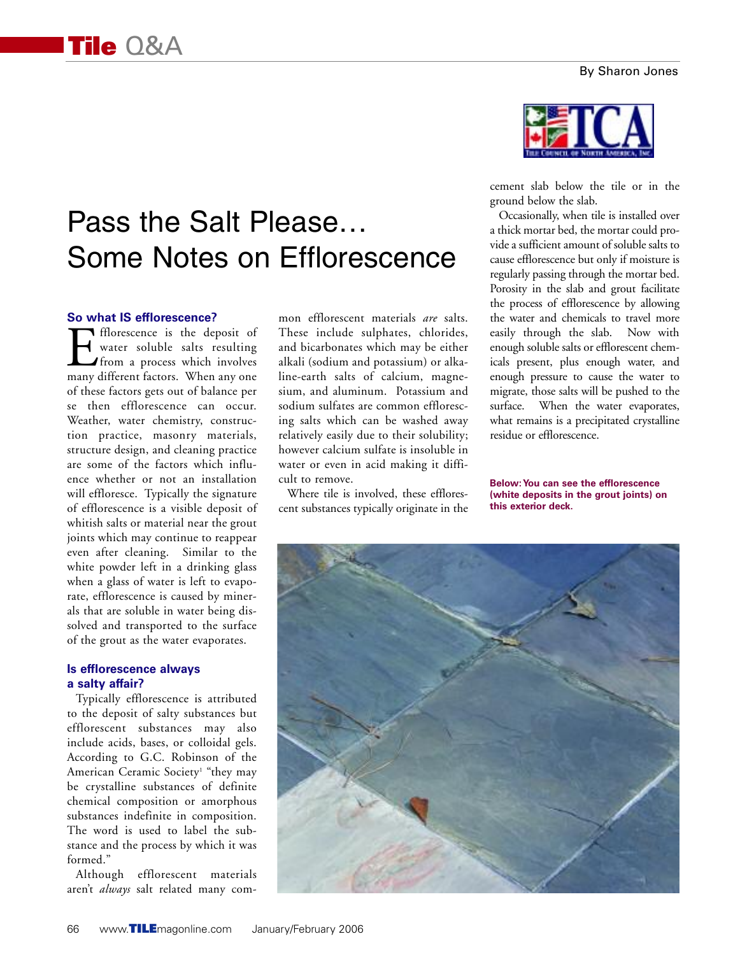# Pass the Salt Please… Some Notes on Efflorescence

#### **So what IS efflorescence?**

**In Exercise State** the deposit of water soluble salts resulting from a process which involves many different factors. When any one of these factors gets out of balance per se then efflorescence can occur. Weather, water chemistry, construction practice, masonry materials, structure design, and cleaning practice are some of the factors which influence whether or not an installation will effloresce. Typically the signature of efflorescence is a visible deposit of whitish salts or material near the grout joints which may continue to reappear even after cleaning. Similar to the white powder left in a drinking glass when a glass of water is left to evaporate, efflorescence is caused by minerals that are soluble in water being dissolved and transported to the surface of the grout as the water evaporates.

#### **Is efflorescence always a salty affair?**

Typically efflorescence is attributed to the deposit of salty substances but efflorescent substances may also include acids, bases, or colloidal gels. According to G.C. Robinson of the American Ceramic Society<sup>1</sup> "they may be crystalline substances of definite chemical composition or amorphous substances indefinite in composition. The word is used to label the substance and the process by which it was formed."

Although efflorescent materials aren't *always* salt related many common efflorescent materials *are* salts. These include sulphates, chlorides, and bicarbonates which may be either alkali (sodium and potassium) or alkaline-earth salts of calcium, magnesium, and aluminum. Potassium and sodium sulfates are common efflorescing salts which can be washed away relatively easily due to their solubility; however calcium sulfate is insoluble in water or even in acid making it difficult to remove.

Where tile is involved, these efflorescent substances typically originate in the



cement slab below the tile or in the ground below the slab.

Occasionally, when tile is installed over a thick mortar bed, the mortar could provide a sufficient amount of soluble salts to cause efflorescence but only if moisture is regularly passing through the mortar bed. Porosity in the slab and grout facilitate the process of efflorescence by allowing the water and chemicals to travel more easily through the slab. Now with enough soluble salts or efflorescent chemicals present, plus enough water, and enough pressure to cause the water to migrate, those salts will be pushed to the surface. When the water evaporates, what remains is a precipitated crystalline residue or efflorescence.

**Below:You can see the efflorescence (white deposits in the grout joints) on this exterior deck.**

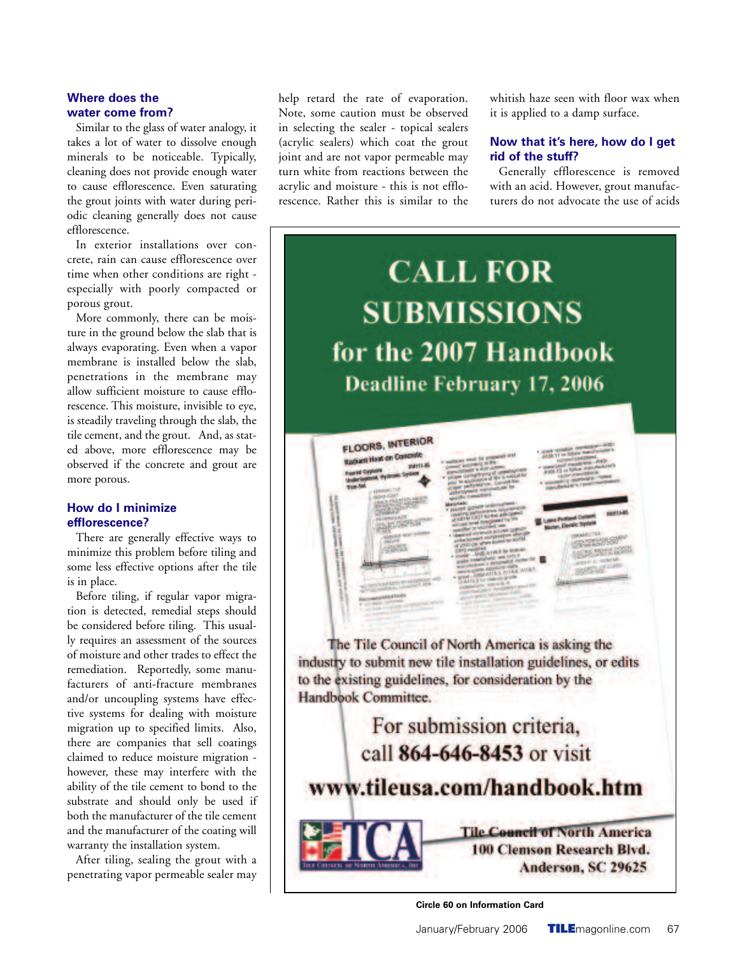## **Where does the water come from?**

Similar to the glass of water analogy, it takes a lot of water to dissolve enough minerals to be noticeable. Typically, cleaning does not provide enough water to cause efflorescence. Even saturating the grout joints with water during periodic cleaning generally does not cause efflorescence.

In exterior installations over concrete, rain can cause efflorescence over time when other conditions are right especially with poorly compacted or porous grout.

More commonly, there can be moisture in the ground below the slab that is always evaporating. Even when a vapor membrane is installed below the slab, penetrations in the membrane may allow sufficient moisture to cause efflorescence. This moisture, invisible to eye, is steadily traveling through the slab, the tile cement, and the grout. And, as stated above, more efflorescence may be observed if the concrete and grout are more porous.

### **How do I minimize efflorescence?**

There are generally effective ways to minimize this problem before tiling and some less effective options after the tile is in place.

Before tiling, if regular vapor migration is detected, remedial steps should be considered before tiling. This usually requires an assessment of the sources of moisture and other trades to effect the remediation. Reportedly, some manufacturers of anti-fracture membranes and/or uncoupling systems have effective systems for dealing with moisture migration up to specified limits. Also, there are companies that sell coatings claimed to reduce moisture migration however, these may interfere with the ability of the tile cement to bond to the substrate and should only be used if both the manufacturer of the tile cement and the manufacturer of the coating will warranty the installation system.

After tiling, sealing the grout with a penetrating vapor permeable sealer may help retard the rate of evaporation. Note, some caution must be observed in selecting the sealer - topical sealers (acrylic sealers) which coat the grout joint and are not vapor permeable may turn white from reactions between the acrylic and moisture - this is not efflorescence. Rather this is similar to the

whitish haze seen with floor wax when it is applied to a damp surface.

## **Now that it's here, how do I get rid of the stuff?**

Generally efflorescence is removed with an acid. However, grout manufacturers do not advocate the use of acids



**Circle 60 on Information Card**